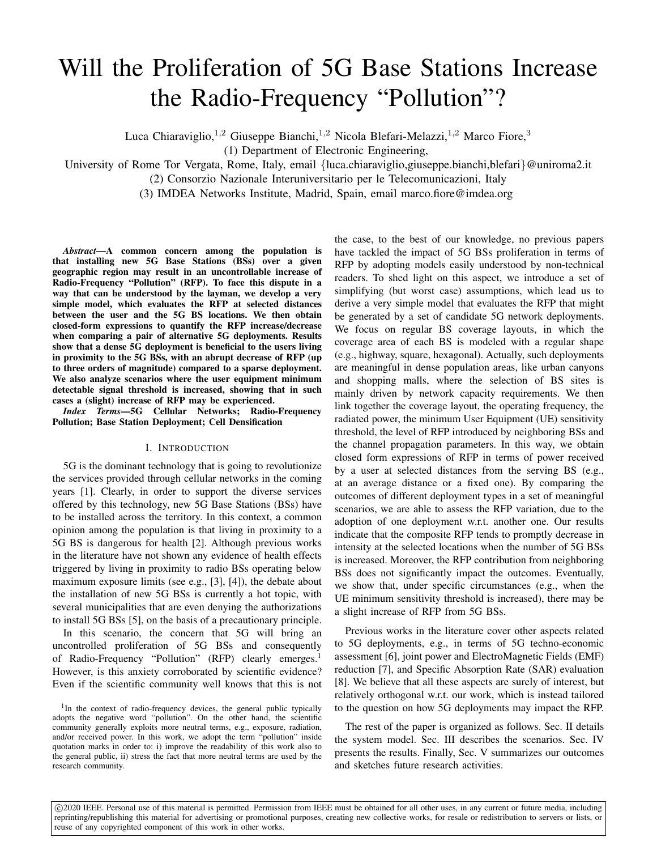# Will the Proliferation of 5G Base Stations Increase the Radio-Frequency "Pollution"?

Luca Chiaraviglio,<sup>1,2</sup> Giuseppe Bianchi,<sup>1,2</sup> Nicola Blefari-Melazzi,<sup>1,2</sup> Marco Fiore,<sup>3</sup>

(1) Department of Electronic Engineering,

University of Rome Tor Vergata, Rome, Italy, email {luca.chiaraviglio,giuseppe.bianchi,blefari}@uniroma2.it

(2) Consorzio Nazionale Interuniversitario per le Telecomunicazioni, Italy

(3) IMDEA Networks Institute, Madrid, Spain, email marco.fiore@imdea.org

*Abstract*—A common concern among the population is that installing new 5G Base Stations (BSs) over a given geographic region may result in an uncontrollable increase of Radio-Frequency "Pollution" (RFP). To face this dispute in a way that can be understood by the layman, we develop a very simple model, which evaluates the RFP at selected distances between the user and the 5G BS locations. We then obtain closed-form expressions to quantify the RFP increase/decrease when comparing a pair of alternative 5G deployments. Results show that a dense 5G deployment is beneficial to the users living in proximity to the 5G BSs, with an abrupt decrease of RFP (up to three orders of magnitude) compared to a sparse deployment. We also analyze scenarios where the user equipment minimum detectable signal threshold is increased, showing that in such cases a (slight) increase of RFP may be experienced.

*Index Terms*—5G Cellular Networks; Radio-Frequency Pollution; Base Station Deployment; Cell Densification

## I. INTRODUCTION

5G is the dominant technology that is going to revolutionize the services provided through cellular networks in the coming years [1]. Clearly, in order to support the diverse services offered by this technology, new 5G Base Stations (BSs) have to be installed across the territory. In this context, a common opinion among the population is that living in proximity to a 5G BS is dangerous for health [2]. Although previous works in the literature have not shown any evidence of health effects triggered by living in proximity to radio BSs operating below maximum exposure limits (see e.g., [3], [4]), the debate about the installation of new 5G BSs is currently a hot topic, with several municipalities that are even denying the authorizations to install 5G BSs [5], on the basis of a precautionary principle.

In this scenario, the concern that 5G will bring an uncontrolled proliferation of 5G BSs and consequently of Radio-Frequency "Pollution" (RFP) clearly emerges.<sup>1</sup> However, is this anxiety corroborated by scientific evidence? Even if the scientific community well knows that this is not

<sup>1</sup>In the context of radio-frequency devices, the general public typically adopts the negative word "pollution". On the other hand, the scientific community generally exploits more neutral terms, e.g., exposure, radiation, and/or received power. In this work, we adopt the term "pollution" inside quotation marks in order to: i) improve the readability of this work also to the general public, ii) stress the fact that more neutral terms are used by the research community.

the case, to the best of our knowledge, no previous papers have tackled the impact of 5G BSs proliferation in terms of RFP by adopting models easily understood by non-technical readers. To shed light on this aspect, we introduce a set of simplifying (but worst case) assumptions, which lead us to derive a very simple model that evaluates the RFP that might be generated by a set of candidate 5G network deployments. We focus on regular BS coverage layouts, in which the coverage area of each BS is modeled with a regular shape (e.g., highway, square, hexagonal). Actually, such deployments are meaningful in dense population areas, like urban canyons and shopping malls, where the selection of BS sites is mainly driven by network capacity requirements. We then link together the coverage layout, the operating frequency, the radiated power, the minimum User Equipment (UE) sensitivity threshold, the level of RFP introduced by neighboring BSs and the channel propagation parameters. In this way, we obtain closed form expressions of RFP in terms of power received by a user at selected distances from the serving BS (e.g., at an average distance or a fixed one). By comparing the outcomes of different deployment types in a set of meaningful scenarios, we are able to assess the RFP variation, due to the adoption of one deployment w.r.t. another one. Our results indicate that the composite RFP tends to promptly decrease in intensity at the selected locations when the number of 5G BSs is increased. Moreover, the RFP contribution from neighboring BSs does not significantly impact the outcomes. Eventually, we show that, under specific circumstances (e.g., when the UE minimum sensitivity threshold is increased), there may be a slight increase of RFP from 5G BSs.

Previous works in the literature cover other aspects related to 5G deployments, e.g., in terms of 5G techno-economic assessment [6], joint power and ElectroMagnetic Fields (EMF) reduction [7], and Specific Absorption Rate (SAR) evaluation [8]. We believe that all these aspects are surely of interest, but relatively orthogonal w.r.t. our work, which is instead tailored to the question on how 5G deployments may impact the RFP.

The rest of the paper is organized as follows. Sec. II details the system model. Sec. III describes the scenarios. Sec. IV presents the results. Finally, Sec. V summarizes our outcomes and sketches future research activities.

 $\odot$ 2020 IEEE. Personal use of this material is permitted. Permission from IEEE must be obtained for all other uses, in any current or future media, including reprinting/republishing this material for advertising or promotional purposes, creating new collective works, for resale or redistribution to servers or lists, or reuse of any copyrighted component of this work in other works.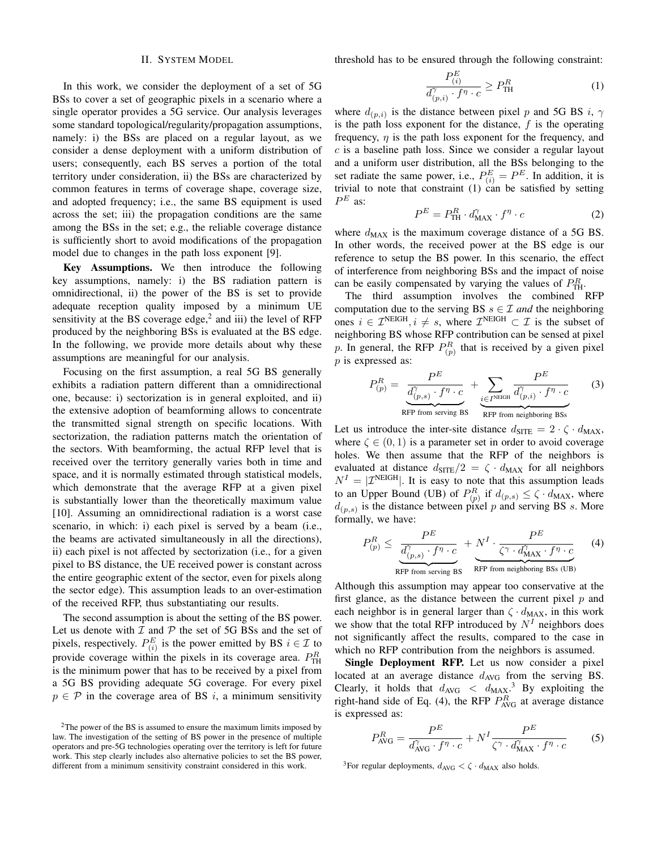## II. SYSTEM MODEL

In this work, we consider the deployment of a set of 5G BSs to cover a set of geographic pixels in a scenario where a single operator provides a 5G service. Our analysis leverages some standard topological/regularity/propagation assumptions, namely: i) the BSs are placed on a regular layout, as we consider a dense deployment with a uniform distribution of users; consequently, each BS serves a portion of the total territory under consideration, ii) the BSs are characterized by common features in terms of coverage shape, coverage size, and adopted frequency; i.e., the same BS equipment is used across the set; iii) the propagation conditions are the same among the BSs in the set; e.g., the reliable coverage distance is sufficiently short to avoid modifications of the propagation model due to changes in the path loss exponent [9].

Key Assumptions. We then introduce the following key assumptions, namely: i) the BS radiation pattern is omnidirectional, ii) the power of the BS is set to provide adequate reception quality imposed by a minimum UE sensitivity at the BS coverage edge, $<sup>2</sup>$  and iii) the level of RFP</sup> produced by the neighboring BSs is evaluated at the BS edge. In the following, we provide more details about why these assumptions are meaningful for our analysis.

Focusing on the first assumption, a real 5G BS generally exhibits a radiation pattern different than a omnidirectional one, because: i) sectorization is in general exploited, and ii) the extensive adoption of beamforming allows to concentrate the transmitted signal strength on specific locations. With sectorization, the radiation patterns match the orientation of the sectors. With beamforming, the actual RFP level that is received over the territory generally varies both in time and space, and it is normally estimated through statistical models, which demonstrate that the average RFP at a given pixel is substantially lower than the theoretically maximum value [10]. Assuming an omnidirectional radiation is a worst case scenario, in which: i) each pixel is served by a beam (i.e., the beams are activated simultaneously in all the directions), ii) each pixel is not affected by sectorization (i.e., for a given pixel to BS distance, the UE received power is constant across the entire geographic extent of the sector, even for pixels along the sector edge). This assumption leads to an over-estimation of the received RFP, thus substantiating our results.

The second assumption is about the setting of the BS power. Let us denote with  $I$  and  $P$  the set of 5G BSs and the set of pixels, respectively.  $P_{(i)}^E$  is the power emitted by BS  $i \in \mathcal{I}$  to provide coverage within the pixels in its coverage area.  $P_{\text{TH}}^R$ is the minimum power that has to be received by a pixel from a 5G BS providing adequate 5G coverage. For every pixel  $p \in \mathcal{P}$  in the coverage area of BS i, a minimum sensitivity threshold has to be ensured through the following constraint:

$$
\frac{P_{(i)}^E}{d_{(p,i)}^{\gamma} \cdot f^{\eta} \cdot c} \ge P_{\text{TH}}^R \tag{1}
$$

where  $d_{(p,i)}$  is the distance between pixel p and 5G BS i,  $\gamma$ is the path loss exponent for the distance,  $f$  is the operating frequency,  $\eta$  is the path loss exponent for the frequency, and  $c$  is a baseline path loss. Since we consider a regular layout and a uniform user distribution, all the BSs belonging to the set radiate the same power, i.e.,  $P_{(i)}^E = P^E$ . In addition, it is trivial to note that constraint  $(1)$  can be satisfied by setting  $P^E$  as:

$$
P^{E} = P_{\text{TH}}^{R} \cdot d_{\text{MAX}}^{\gamma} \cdot f^{\eta} \cdot c \tag{2}
$$

where  $d_{MAX}$  is the maximum coverage distance of a 5G BS. In other words, the received power at the BS edge is our reference to setup the BS power. In this scenario, the effect of interference from neighboring BSs and the impact of noise can be easily compensated by varying the values of  $P_{\text{TH}}^R$ .

The third assumption involves the combined RFP computation due to the serving BS  $s \in \mathcal{I}$  *and* the neighboring ones  $i \in \mathcal{I}^{\text{NEIGH}}, i \neq s$ , where  $\mathcal{I}^{\text{NEIGH}} \subset \mathcal{I}$  is the subset of neighboring BS whose RFP contribution can be sensed at pixel p. In general, the RFP  $P_{(p)}^R$  that is received by a given pixel  $p$  is expressed as:

$$
P_{(p)}^{R} = \underbrace{\frac{P^{E}}{d_{(p,s)}^{'} \cdot f^{\eta} \cdot c}}_{\text{RFP from serving BS}} + \underbrace{\sum_{i \in I^{NEIGH}} \frac{P^{E}}{d_{(p,i)}^{'} \cdot f^{\eta} \cdot c}}_{\text{RFP from neighboring BS}} \tag{3}
$$

Let us introduce the inter-site distance  $d_{\text{STTE}} = 2 \cdot \zeta \cdot d_{\text{MAX}}$ , where  $\zeta \in (0, 1)$  is a parameter set in order to avoid coverage holes. We then assume that the RFP of the neighbors is evaluated at distance  $d_{\text{STTE}}/2 = \zeta \cdot d_{\text{MAX}}$  for all neighbors  $N<sup>I</sup> = |\mathcal{I}^{NEIGH}|$ . It is easy to note that this assumption leads to an Upper Bound (UB) of  $P_{(p)}^R$  if  $d_{(p,s)} \leq \zeta \cdot d_{\text{MAX}}$ , where  $d_{(p,s)}$  is the distance between pixel p and serving BS s. More formally, we have:

$$
P_{(p)}^{R} \leq \frac{P^{E}}{\underbrace{d_{(p,s)}^{\gamma} \cdot f^{\eta} \cdot c}_{\text{RFP from serving BS}}} + \underbrace{N^{I} \cdot \frac{P^{E}}{\zeta^{\gamma} \cdot d_{\text{MAX}}^{\gamma} \cdot f^{\eta} \cdot c}}_{\text{RFP from neighboring BSs (UB)}} \tag{4}
$$

Although this assumption may appear too conservative at the first glance, as the distance between the current pixel  $p$  and each neighbor is in general larger than  $\zeta \cdot d_{\text{MAX}}$ , in this work we show that the total RFP introduced by  $N<sup>I</sup>$  neighbors does not significantly affect the results, compared to the case in which no RFP contribution from the neighbors is assumed.

Single Deployment RFP. Let us now consider a pixel located at an average distance  $d_{AVG}$  from the serving BS. Clearly, it holds that  $d_{\text{AVG}} < d_{\text{MAX}}$ <sup>3</sup> By exploiting the right-hand side of Eq. (4), the RFP  $P_{AVG}^{R}$  at average distance is expressed as:

$$
P_{\text{AVG}}^{R} = \frac{P^{E}}{d_{\text{AVG}}^{\gamma} \cdot f^{\eta} \cdot c} + N^{I} \frac{P^{E}}{\zeta^{\gamma} \cdot d_{\text{MAX}}^{\gamma} \cdot f^{\eta} \cdot c}
$$
 (5)

<sup>3</sup>For regular deployments,  $d_{\text{AVG}} < \zeta \cdot d_{\text{MAX}}$  also holds.

 $2$ The power of the BS is assumed to ensure the maximum limits imposed by law. The investigation of the setting of BS power in the presence of multiple operators and pre-5G technologies operating over the territory is left for future work. This step clearly includes also alternative policies to set the BS power, different from a minimum sensitivity constraint considered in this work.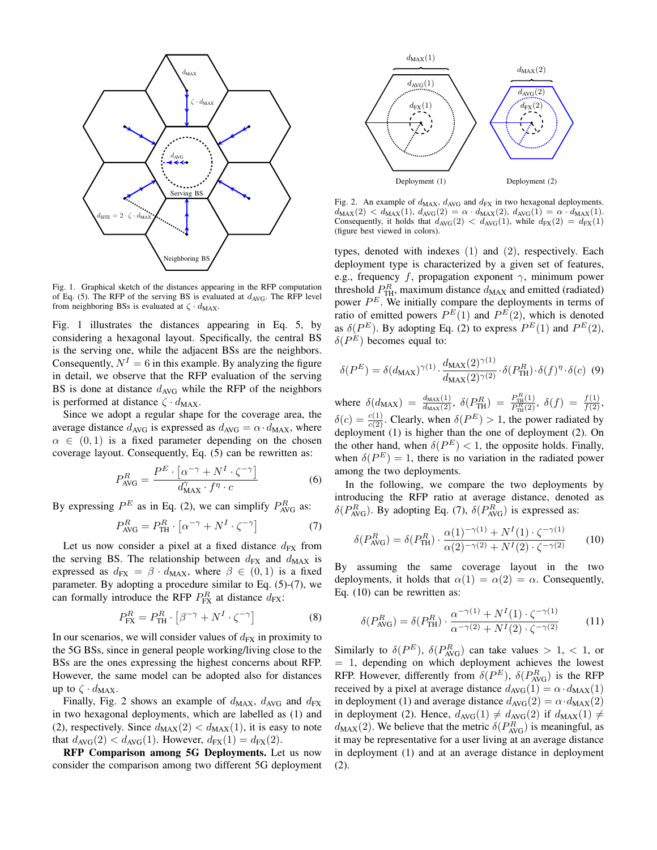

Fig. 1. Graphical sketch of the distances appearing in the RFP computation of Eq. (5). The RFP of the serving BS is evaluated at  $d_{AVG}$ . The RFP level from neighboring BSs is evaluated at  $\zeta \cdot d_{\text{MAX}}$ .

Fig. 1 illustrates the distances appearing in Eq. 5, by considering a hexagonal layout. Specifically, the central BS is the serving one, while the adjacent BSs are the neighbors. Consequently,  $N^I = 6$  in this example. By analyzing the figure in detail, we observe that the RFP evaluation of the serving BS is done at distance  $d_{\text{AVG}}$  while the RFP of the neighbors is performed at distance  $\zeta \cdot d_{\text{MAX}}$ .

Since we adopt a regular shape for the coverage area, the average distance  $d_{\text{AVG}}$  is expressed as  $d_{\text{AVG}} = \alpha \cdot d_{\text{MAX}}$ , where  $\alpha \in (0,1)$  is a fixed parameter depending on the chosen coverage layout. Consequently, Eq. (5) can be rewritten as:

$$
P_{\text{AVG}}^{R} = \frac{P^{E} \cdot \left[ \alpha^{-\gamma} + N^{I} \cdot \zeta^{-\gamma} \right]}{d_{\text{MAX}}^{\gamma} \cdot r \cdot c}
$$
 (6)

By expressing  $P^E$  as in Eq. (2), we can simplify  $P_{\text{AVG}}^R$  as:

$$
P_{\text{AVG}}^R = P_{\text{TH}}^R \cdot \left[ \alpha^{-\gamma} + N^I \cdot \zeta^{-\gamma} \right] \tag{7}
$$

Let us now consider a pixel at a fixed distance  $d_{FX}$  from the serving BS. The relationship between  $d_{FX}$  and  $d_{MAX}$  is expressed as  $d_{FX} = \beta \cdot d_{MAX}$ , where  $\beta \in (0,1)$  is a fixed parameter. By adopting a procedure similar to Eq. (5)-(7), we can formally introduce the RFP  $P_{FX}^R$  at distance  $d_{FX}$ :

$$
P_{\text{FX}}^R = P_{\text{TH}}^R \cdot \left[ \beta^{-\gamma} + N^I \cdot \zeta^{-\gamma} \right] \tag{8}
$$

In our scenarios, we will consider values of  $d_{FX}$  in proximity to the 5G BSs, since in general people working/living close to the BSs are the ones expressing the highest concerns about RFP. However, the same model can be adopted also for distances up to  $\zeta \cdot d_{\text{MAX}}$ .

Finally, Fig. 2 shows an example of  $d_{MAX}$ ,  $d_{AVG}$  and  $d_{FX}$ in two hexagonal deployments, which are labelled as (1) and (2), respectively. Since  $d_{MAX}(2) < d_{MAX}(1)$ , it is easy to note that  $d_{\text{AVG}}(2) < d_{\text{AVG}}(1)$ . However,  $d_{\text{FX}}(1) = d_{\text{FX}}(2)$ .

RFP Comparison among 5G Deployments. Let us now consider the comparison among two different 5G deployment



Fig. 2. An example of  $d_{MAX}$ ,  $d_{AVG}$  and  $d_{FX}$  in two hexagonal deployments.  $d_{MAX}(2) < d_{MAX}(1), d_{AVG}(2) = \alpha \cdot d_{MAX}(2), d_{AVG}(1) = \alpha \cdot d_{MAX}(1).$ Consequently, it holds that  $d_{\text{AVG}}(2) < d_{\text{AVG}}(1)$ , while  $d_{\text{FX}}(2) = d_{\text{FX}}(1)$ (figure best viewed in colors).

types, denoted with indexes (1) and (2), respectively. Each deployment type is characterized by a given set of features, e.g., frequency f, propagation exponent  $\gamma$ , minimum power threshold  $P_{\text{TH}}^R$ , maximum distance  $d_{\text{MAX}}$  and emitted (radiated) power  $P<sup>E</sup>$ . We initially compare the deployments in terms of ratio of emitted powers  $P^{E}(1)$  and  $P^{E}(2)$ , which is denoted as  $\delta(P^E)$ . By adopting Eq. (2) to express  $P^E(1)$  and  $P^E(2)$ ,  $\delta(P^E)$  becomes equal to:

$$
\delta(P^E) = \delta(d_{\text{MAX}})^{\gamma(1)} \cdot \frac{d_{\text{MAX}}(2)^{\gamma(1)}}{d_{\text{MAX}}(2)^{\gamma(2)}} \cdot \delta(P_{\text{TH}}^R) \cdot \delta(f)^{\eta} \cdot \delta(c) \tag{9}
$$

where  $\delta(d_{\text{MAX}}) = \frac{d_{\text{MAX}}(1)}{d_{\text{MAX}}(2)}$ ,  $\delta(P_{\text{TH}}^R) = \frac{P_{\text{TH}}^R(1)}{P_{\text{TH}}^R(2)}$ ,  $\delta(f) = \frac{f(1)}{f(2)}$ ,  $\delta(c) = \frac{c(1)}{c(2)}$ . Clearly, when  $\delta(P^E) > 1$ , the power radiated by deployment (1) is higher than the one of deployment (2). On the other hand, when  $\delta(P^E) < 1$ , the opposite holds. Finally, when  $\delta(P^E) = 1$ , there is no variation in the radiated power among the two deployments.

In the following, we compare the two deployments by introducing the RFP ratio at average distance, denoted as  $\delta(P_{\text{AVG}}^R)$ . By adopting Eq. (7),  $\delta(P_{\text{AVG}}^R)$  is expressed as:

$$
\delta(P_{\text{AVG}}^R) = \delta(P_{\text{TH}}^R) \cdot \frac{\alpha(1)^{-\gamma(1)} + N^I(1) \cdot \zeta^{-\gamma(1)}}{\alpha(2)^{-\gamma(2)} + N^I(2) \cdot \zeta^{-\gamma(2)}} \tag{10}
$$

By assuming the same coverage layout in the two deployments, it holds that  $\alpha(1) = \alpha(2) = \alpha$ . Consequently, Eq. (10) can be rewritten as:

$$
\delta(P_{\text{AVG}}^R) = \delta(P_{\text{TH}}^R) \cdot \frac{\alpha^{-\gamma(1)} + N^I(1) \cdot \zeta^{-\gamma(1)}}{\alpha^{-\gamma(2)} + N^I(2) \cdot \zeta^{-\gamma(2)}} \tag{11}
$$

Similarly to  $\delta(P^E)$ ,  $\delta(P^R_{\text{AVG}})$  can take values  $> 1, < 1$ , or = 1, depending on which deployment achieves the lowest RFP. However, differently from  $\delta(P^E)$ ,  $\delta(P^R_{AVG})$  is the RFP received by a pixel at average distance  $d_{\text{AVG}}(1) = \alpha \cdot d_{\text{MAX}}(1)$ in deployment (1) and average distance  $d_{\text{AVG}}(2) = \alpha \cdot d_{\text{MAX}}(2)$ in deployment (2). Hence,  $d_{\text{AVG}}(1) \neq d_{\text{AVG}}(2)$  if  $d_{\text{MAX}}(1) \neq$  $d_{MAX}(2)$ . We believe that the metric  $\delta(P_{AVG}^R)$  is meaningful, as it may be representative for a user living at an average distance in deployment (1) and at an average distance in deployment (2).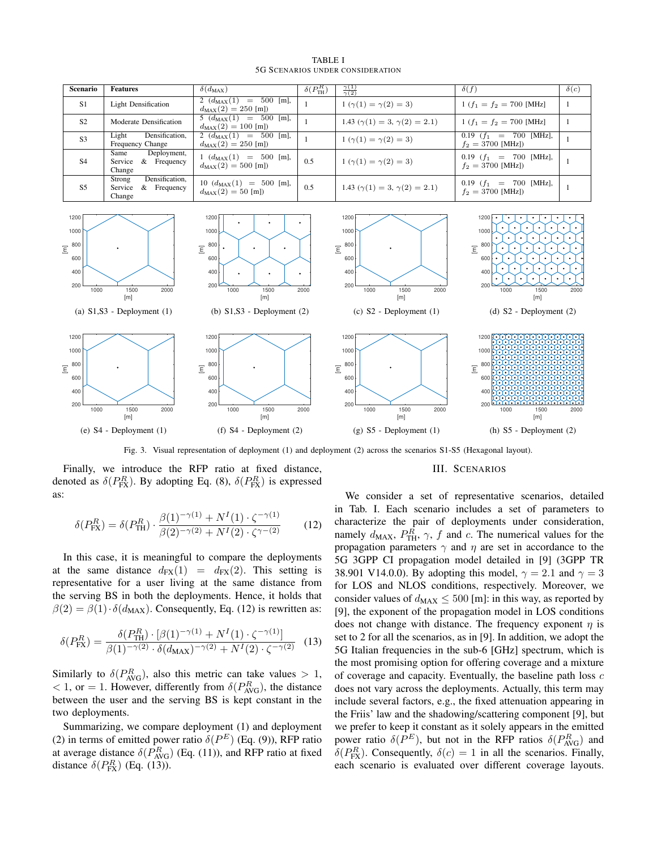

TABLE I 5G SCENARIOS UNDER CONSIDERATION

Fig. 3. Visual representation of deployment (1) and deployment (2) across the scenarios S1-S5 (Hexagonal layout).

Finally, we introduce the RFP ratio at fixed distance, denoted as  $\delta(P_{\text{FX}}^R)$ . By adopting Eq. (8),  $\delta(P_{\text{FX}}^R)$  is expressed as:

$$
\delta(P_{\text{FX}}^R) = \delta(P_{\text{TH}}^R) \cdot \frac{\beta(1)^{-\gamma(1)} + N^I(1) \cdot \zeta^{-\gamma(1)}}{\beta(2)^{-\gamma(2)} + N^I(2) \cdot \zeta^{\gamma - (2)}} \tag{12}
$$

In this case, it is meaningful to compare the deployments at the same distance  $d_{FX}(1) = d_{FX}(2)$ . This setting is representative for a user living at the same distance from the serving BS in both the deployments. Hence, it holds that  $\beta(2) = \beta(1) \cdot \delta(d_{\text{MAX}})$ . Consequently, Eq. (12) is rewritten as:

$$
\delta(P_{\text{FX}}^R) = \frac{\delta(P_{\text{TH}}^R) \cdot [\beta(1)^{-\gamma(1)} + N^I(1) \cdot \zeta^{-\gamma(1)}]}{\beta(1)^{-\gamma(2)} \cdot \delta(d_{\text{MAX}})^{-\gamma(2)} + N^I(2) \cdot \zeta^{-\gamma(2)}} \tag{13}
$$

Similarly to  $\delta(P_{\text{AVG}}^R)$ , also this metric can take values  $> 1$ ,  $< 1$ , or = 1. However, differently from  $\delta(P_{\text{AVG}}^R)$ , the distance between the user and the serving BS is kept constant in the two deployments.

Summarizing, we compare deployment (1) and deployment (2) in terms of emitted power ratio  $\delta(P^E)$  (Eq. (9)), RFP ratio at average distance  $\delta(P_{\text{AVG}}^R)$  (Eq. (11)), and RFP ratio at fixed distance  $\delta(P_{\text{FX}}^R)$  (Eq. (13)).

#### III. SCENARIOS

We consider a set of representative scenarios, detailed in Tab. I. Each scenario includes a set of parameters to characterize the pair of deployments under consideration, namely  $d_{MAX}$ ,  $P_{TH}^{R}$ ,  $\gamma$ ,  $f$  and  $c$ . The numerical values for the propagation parameters  $\gamma$  and  $\eta$  are set in accordance to the 5G 3GPP CI propagation model detailed in [9] (3GPP TR 38.901 V14.0.0). By adopting this model,  $\gamma = 2.1$  and  $\gamma = 3$ for LOS and NLOS conditions, respectively. Moreover, we consider values of  $d_{MAX} \leq 500$  [m]: in this way, as reported by [9], the exponent of the propagation model in LOS conditions does not change with distance. The frequency exponent  $\eta$  is set to 2 for all the scenarios, as in [9]. In addition, we adopt the 5G Italian frequencies in the sub-6 [GHz] spectrum, which is the most promising option for offering coverage and a mixture of coverage and capacity. Eventually, the baseline path loss  $c$ does not vary across the deployments. Actually, this term may include several factors, e.g., the fixed attenuation appearing in the Friis' law and the shadowing/scattering component [9], but we prefer to keep it constant as it solely appears in the emitted power ratio  $\delta(P^E)$ , but not in the RFP ratios  $\delta(P_{AVG}^R)$  and  $\delta(P_{\text{FX}}^R)$ . Consequently,  $\delta(c) = 1$  in all the scenarios. Finally, each scenario is evaluated over different coverage layouts.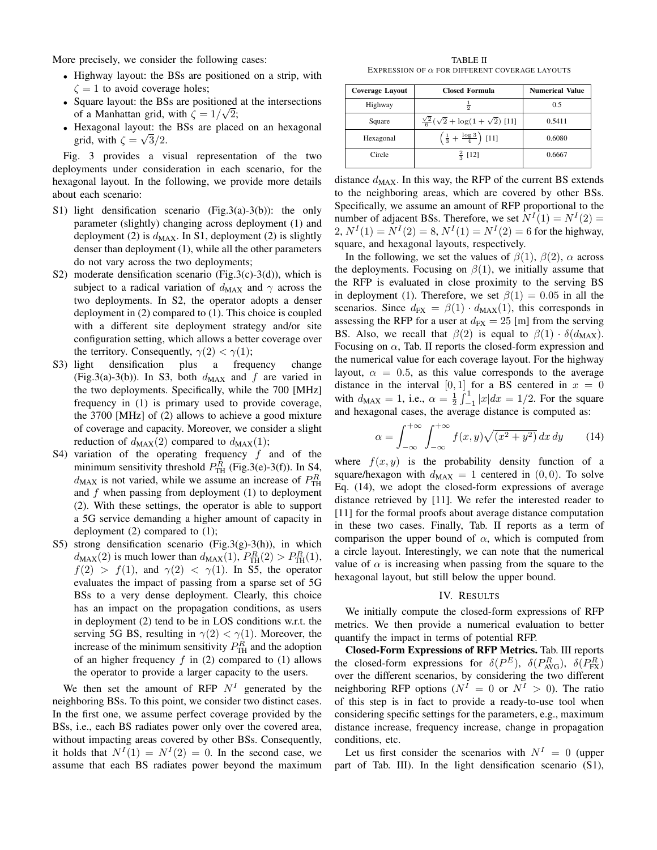More precisely, we consider the following cases:

- Highway layout: the BSs are positioned on a strip, with  $\zeta = 1$  to avoid coverage holes;
- Square layout: the BSs are positioned at the intersections of a Manhattan grid, with  $\zeta = 1/\sqrt{2}$ ;
- Hexagonal layout: the BSs are placed on an hexagonal grid, with  $\zeta = \sqrt{3}/2$ .

Fig. 3 provides a visual representation of the two deployments under consideration in each scenario, for the hexagonal layout. In the following, we provide more details about each scenario:

- S1) light densification scenario (Fig.3(a)-3(b)): the only parameter (slightly) changing across deployment (1) and deployment (2) is  $d_{MAX}$ . In S1, deployment (2) is slightly denser than deployment (1), while all the other parameters do not vary across the two deployments;
- S2) moderate densification scenario (Fig.3(c)-3(d)), which is subject to a radical variation of  $d_{MAX}$  and  $\gamma$  across the two deployments. In S2, the operator adopts a denser deployment in (2) compared to (1). This choice is coupled with a different site deployment strategy and/or site configuration setting, which allows a better coverage over the territory. Consequently,  $\gamma(2) < \gamma(1)$ ;
- S3) light densification plus a frequency change (Fig.3(a)-3(b)). In S3, both  $d_{MAX}$  and f are varied in the two deployments. Specifically, while the 700 [MHz] frequency in (1) is primary used to provide coverage, the 3700 [MHz] of (2) allows to achieve a good mixture of coverage and capacity. Moreover, we consider a slight reduction of  $d_{MAX}(2)$  compared to  $d_{MAX}(1)$ ;
- S4) variation of the operating frequency  $f$  and of the minimum sensitivity threshold  $P_{\text{TH}}^R$  (Fig.3(e)-3(f)). In S4,  $d_{MAX}$  is not varied, while we assume an increase of  $P_{TH}^{R}$ and  $f$  when passing from deployment (1) to deployment (2). With these settings, the operator is able to support a 5G service demanding a higher amount of capacity in deployment (2) compared to (1);
- S5) strong densification scenario (Fig.3(g)-3(h)), in which  $d_{MAX}(2)$  is much lower than  $d_{MAX}(1)$ ,  $P_{TH}^{R}(2) > P_{TH}^{R}(1)$ ,  $f(2) > f(1)$ , and  $\gamma(2) < \gamma(1)$ . In S5, the operator evaluates the impact of passing from a sparse set of 5G BSs to a very dense deployment. Clearly, this choice has an impact on the propagation conditions, as users in deployment (2) tend to be in LOS conditions w.r.t. the serving 5G BS, resulting in  $\gamma(2) < \gamma(1)$ . Moreover, the increase of the minimum sensitivity  $P_{\text{TH}}^R$  and the adoption of an higher frequency  $f$  in (2) compared to (1) allows the operator to provide a larger capacity to the users.

We then set the amount of RFP  $N<sup>I</sup>$  generated by the neighboring BSs. To this point, we consider two distinct cases. In the first one, we assume perfect coverage provided by the BSs, i.e., each BS radiates power only over the covered area, without impacting areas covered by other BSs. Consequently, it holds that  $N^I(1) = N^I(2) = 0$ . In the second case, we assume that each BS radiates power beyond the maximum

TABLE II EXPRESSION OF  $\alpha$  FOR DIFFERENT COVERAGE LAYOUTS

| <b>Coverage Layout</b> | <b>Closed Formula</b>                                   | <b>Numerical Value</b> |
|------------------------|---------------------------------------------------------|------------------------|
| Highway                |                                                         | 0.5                    |
| Square                 | $\frac{\sqrt{2}}{6}(\sqrt{2} + \log(1 + \sqrt{2})$ [11] | 0.5411                 |
| Hexagonal              | $\left(\frac{1}{3} + \frac{\log 3}{4}\right)$ [11]      | 0.6080                 |
| Circle                 | $rac{2}{3}$ [12]                                        | 0.6667                 |

distance  $d_{MAX}$ . In this way, the RFP of the current BS extends to the neighboring areas, which are covered by other BSs. Specifically, we assume an amount of RFP proportional to the number of adjacent BSs. Therefore, we set  $N^{I}(1) = N^{I}(2) =$  $2, N^{I}(1) = N^{I}(2) = 8, N^{I}(1) = N^{I}(2) = 6$  for the highway, square, and hexagonal layouts, respectively.

In the following, we set the values of  $\beta(1)$ ,  $\beta(2)$ ,  $\alpha$  across the deployments. Focusing on  $\beta(1)$ , we initially assume that the RFP is evaluated in close proximity to the serving BS in deployment (1). Therefore, we set  $\beta(1) = 0.05$  in all the scenarios. Since  $d_{FX} = \beta(1) \cdot d_{MAX}(1)$ , this corresponds in assessing the RFP for a user at  $d_{FX} = 25$  [m] from the serving BS. Also, we recall that  $\beta(2)$  is equal to  $\beta(1) \cdot \delta(d_{MAX})$ . Focusing on  $\alpha$ , Tab. II reports the closed-form expression and the numerical value for each coverage layout. For the highway layout,  $\alpha = 0.5$ , as this value corresponds to the average distance in the interval  $[0, 1]$  for a BS centered in  $x = 0$ with  $d_{MAX} = 1$ , i.e.,  $\alpha = \frac{1}{2} \int_{-1}^{1} |x| dx = 1/2$ . For the square and hexagonal cases, the average distance is computed as:

$$
\alpha = \int_{-\infty}^{+\infty} \int_{-\infty}^{+\infty} f(x, y) \sqrt{(x^2 + y^2)} dx dy \qquad (14)
$$

where  $f(x, y)$  is the probability density function of a square/hexagon with  $d_{MAX} = 1$  centered in  $(0, 0)$ . To solve Eq. (14), we adopt the closed-form expressions of average distance retrieved by [11]. We refer the interested reader to [11] for the formal proofs about average distance computation in these two cases. Finally, Tab. II reports as a term of comparison the upper bound of  $\alpha$ , which is computed from a circle layout. Interestingly, we can note that the numerical value of  $\alpha$  is increasing when passing from the square to the hexagonal layout, but still below the upper bound.

# IV. RESULTS

We initially compute the closed-form expressions of RFP metrics. We then provide a numerical evaluation to better quantify the impact in terms of potential RFP.

Closed-Form Expressions of RFP Metrics. Tab. III reports the closed-form expressions for  $\delta(P^E)$ ,  $\delta(P^R_{AVG})$ ,  $\delta(P^R_{FX})$ over the different scenarios, by considering the two different neighboring RFP options ( $N^I = 0$  or  $N^I > 0$ ). The ratio of this step is in fact to provide a ready-to-use tool when considering specific settings for the parameters, e.g., maximum distance increase, frequency increase, change in propagation conditions, etc.

Let us first consider the scenarios with  $N^I = 0$  (upper part of Tab. III). In the light densification scenario (S1),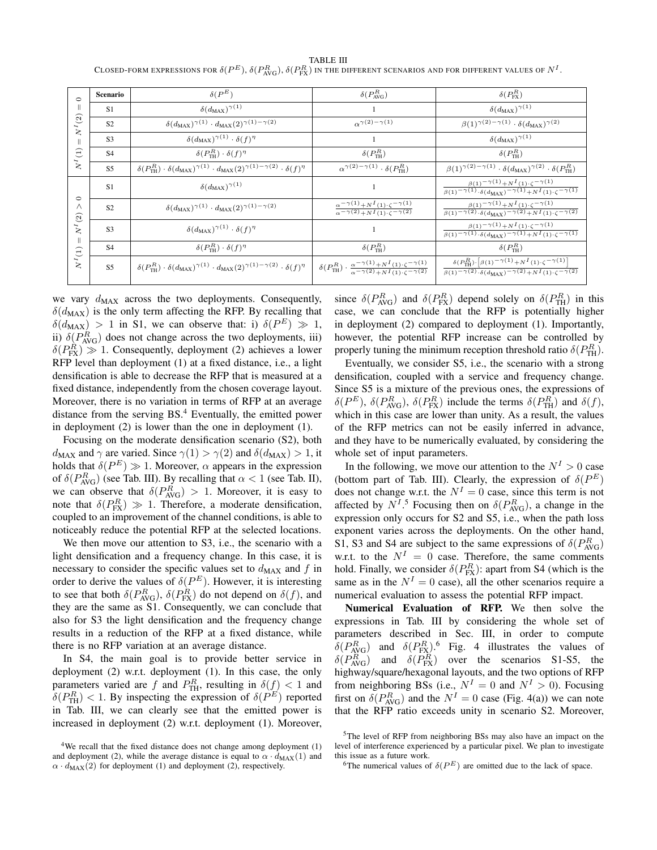| $\circ$<br>$\parallel$<br>$N^I(2)$<br>$\mathbb{I}$<br>$\bigoplus$                       | <b>Scenario</b> | $\delta({P^E})$                                                                                                                         | $\delta({P^R_{\text{AVG}}})$                                                                                                                                                               | $\delta(P_{\text{FX}}^R)$                                                                                                                                                                                                                  |
|-----------------------------------------------------------------------------------------|-----------------|-----------------------------------------------------------------------------------------------------------------------------------------|--------------------------------------------------------------------------------------------------------------------------------------------------------------------------------------------|--------------------------------------------------------------------------------------------------------------------------------------------------------------------------------------------------------------------------------------------|
|                                                                                         | <b>S1</b>       | $\delta(d_{\text{MAX}})^{\gamma(1)}$                                                                                                    |                                                                                                                                                                                            | $\delta(d_{\text{MAX}})^{\gamma(1)}$                                                                                                                                                                                                       |
|                                                                                         | S <sub>2</sub>  | $\delta(d_{\text{MAX}})^{\gamma(1)} \cdot d_{\text{MAX}}(2)^{\gamma(1)-\gamma(2)}$                                                      | $\alpha^{\gamma(2)-\gamma(1)}$                                                                                                                                                             | $\overline{\beta(1)}^{\gamma(2)-\gamma(1)}\cdot \delta(d_{\text{MAX}})^{\gamma(2)}$                                                                                                                                                        |
|                                                                                         | S <sub>3</sub>  | $\delta(d_{\text{MAX}})^{\gamma(1)} \cdot \delta(f)^{\eta}$                                                                             |                                                                                                                                                                                            | $\delta(d_{\text{MAX}})^{\gamma(1)}$                                                                                                                                                                                                       |
|                                                                                         | <b>S4</b>       | $\delta(P_{\text{TH}}^R) \cdot \delta(f)^{\eta}$                                                                                        | $\delta({P^R_{\text{TH}}})$                                                                                                                                                                | $\delta({P_{\text{TH}}^R})$                                                                                                                                                                                                                |
| $\boldsymbol{N}^I$                                                                      | <b>S5</b>       | $\delta({P^R_{\text{TH}}}) \cdot \delta(d_{\text{MAX}})^{\gamma(1)} \cdot d_{\text{MAX}}(2)^{\gamma(1)-\gamma(2)} \cdot \delta(f)^\eta$ | $\alpha^{\gamma(2)-\gamma(1)} \cdot \delta(P_{\text{TH}}^R)$                                                                                                                               | $\beta(1)^{\gamma(2)-\gamma(1)} \cdot \delta(d_{\text{MAX}})^{\gamma(2)} \cdot \delta(P_{\text{TH}}^R)$                                                                                                                                    |
| $\circ$<br>$\wedge$<br>$\odot$<br>$N^{I}$<br>$\parallel$<br>$\left(1\right)$<br>$N^{I}$ | S1              | $\delta(d_{\text{MAX}})^{\gamma(1)}$                                                                                                    |                                                                                                                                                                                            | $\beta(1)$ – $\gamma(1)$ + $N^I(1)$ · $\zeta$ – $\gamma(1)$<br>$\frac{\beta(1)^{-\gamma(1)} \cdot \delta(d_{\text{MAX}})^{-\gamma(1)} + N^I(1) \cdot \zeta^{-\gamma(1)}}{2}$                                                               |
|                                                                                         | <b>S2</b>       | $\delta(d_{\text{MAX}})^{\gamma(1)} \cdot d_{\text{MAX}}(2)^{\gamma(1)-\gamma(2)}$                                                      | $\alpha^{-\gamma(1)} + N^{I}(1) \cdot \zeta^{-\gamma(1)}$<br>$\sqrt{\alpha^{-\gamma(2)} + N^I(1) \cdot \zeta^{-\gamma(2)}}$                                                                | $\beta(1)$ – $\frac{\gamma(1)}{N}$ + N $I(1)$ . $\zeta$ – $\gamma(1)$<br>$\frac{\beta(1)^{-\gamma(2)} \cdot \delta(d_{\text{MAX}})^{-\gamma(2)} + N^{I}(1) \cdot \zeta^{-\gamma(2)}}{B(1)^{2} \cdot \zeta^{I}}$                            |
|                                                                                         | S <sub>3</sub>  | $\delta(d_{\text{MAX}})^{\gamma(1)} \cdot \delta(f)^{\eta}$                                                                             |                                                                                                                                                                                            | $\beta(1)$ – $\gamma(1)$ + $N^I(1)$ · $\zeta$ – $\gamma(1)$<br>$\overline{\beta(1)^{-\gamma(1)}.\delta(d_{\text{MAX}})^{-\gamma(1)}+N^I(1).\zeta^{-\gamma(1)}}$                                                                            |
|                                                                                         | S <sub>4</sub>  | $\delta(P_{\text{TH}}^R) \cdot \delta(f)^{\eta}$                                                                                        | $\delta({P^R_{\text{TH}}})$                                                                                                                                                                | $\delta(P_{\text{TH}}^R)$                                                                                                                                                                                                                  |
|                                                                                         | S <sub>5</sub>  | $\delta({P^R_{\text{TH}}}) \cdot \delta(d_{\text{MAX}})^{\gamma(1)} \cdot d_{\text{MAX}}(2)^{\gamma(1)-\gamma(2)} \cdot \delta(f)^\eta$ | $\delta\bigl(P_{\text{TH}}^{R}\bigr) \cdot \tfrac{\alpha^{-\gamma(1)} + N^{I}\left(1\right) \cdot \zeta^{-\gamma(1)}}{\alpha^{-\gamma(2)} + N^{I}\left(1\right) \cdot \zeta^{-\gamma(2)}}$ | $\delta({P^R_{\text{TH}}}){\cdot}\left[{\beta(1)}^{-\,\gamma(1)}\!+\!N^I\left(1\right){\cdot}\zeta^{-\,\gamma(1)}\right]$<br>$\frac{\beta(1)^{-\gamma(2)} \cdot \delta(d_{\text{MAX}})^{-\gamma(2)} + N^I(1) \cdot \zeta^{-\gamma(2)}}{2}$ |

TABLE III Closed-form expressions for  $\delta({P^E}), \delta({P^R_{\text{AVG}}}), \delta({P^R_{\text{FX}}})$  in the different scenarios and for different values of  $N^I.$ 

we vary  $d_{MAX}$  across the two deployments. Consequently,  $\delta(d_{\text{MAX}})$  is the only term affecting the RFP. By recalling that  $\delta(d_{\text{MAX}}) > 1$  in S1, we can observe that: i)  $\delta(P^E) \gg 1$ , ii)  $\delta(P_{\text{AVG}}^R)$  does not change across the two deployments, iii)  $\delta(P_{\text{FX}}^R) \gg 1$ . Consequently, deployment (2) achieves a lower RFP level than deployment (1) at a fixed distance, i.e., a light densification is able to decrease the RFP that is measured at a fixed distance, independently from the chosen coverage layout. Moreover, there is no variation in terms of RFP at an average distance from the serving BS.<sup>4</sup> Eventually, the emitted power in deployment (2) is lower than the one in deployment (1).

Focusing on the moderate densification scenario (S2), both  $d_{MAX}$  and  $\gamma$  are varied. Since  $\gamma(1) > \gamma(2)$  and  $\delta(d_{MAX}) > 1$ , it holds that  $\delta(P^E) \gg 1$ . Moreover,  $\alpha$  appears in the expression of  $\delta(P_{\text{AVG}}^R)$  (see Tab. III). By recalling that  $\alpha < 1$  (see Tab. II), we can observe that  $\delta(P_{\text{AVG}}^R) > 1$ . Moreover, it is easy to note that  $\delta(P_{\text{FX}}^R) \gg 1$ . Therefore, a moderate densification, coupled to an improvement of the channel conditions, is able to noticeably reduce the potential RFP at the selected locations.

We then move our attention to S3, i.e., the scenario with a light densification and a frequency change. In this case, it is necessary to consider the specific values set to  $d_{MAX}$  and f in order to derive the values of  $\delta(P^E)$ . However, it is interesting to see that both  $\delta(P_{\text{AVG}}^R)$ ,  $\delta(P_{\text{FX}}^R)$  do not depend on  $\delta(f)$ , and they are the same as S1. Consequently, we can conclude that also for S3 the light densification and the frequency change results in a reduction of the RFP at a fixed distance, while there is no RFP variation at an average distance.

In S4, the main goal is to provide better service in deployment (2) w.r.t. deployment (1). In this case, the only parameters varied are f and  $P_{\text{TH}}^R$ , resulting in  $\delta(f) < 1$  and  $\delta(P_{\text{TH}}^R)$  < 1. By inspecting the expression of  $\delta(P^E)$  reported in Tab. III, we can clearly see that the emitted power is increased in deployment (2) w.r.t. deployment (1). Moreover,

since  $\delta(P_{\text{AVG}}^R)$  and  $\delta(P_{\text{FX}}^R)$  depend solely on  $\delta(P_{\text{TH}}^R)$  in this case, we can conclude that the RFP is potentially higher in deployment (2) compared to deployment (1). Importantly, however, the potential RFP increase can be controlled by properly tuning the minimum reception threshold ratio  $\delta(P_{\text{TH}}^R)$ .

Eventually, we consider S5, i.e., the scenario with a strong densification, coupled with a service and frequency change. Since S5 is a mixture of the previous ones, the expressions of  $\delta(P^E)$ ,  $\delta(P^R_{\text{AVG}})$ ,  $\delta(P^R_{\text{FX}})$  include the terms  $\delta(P^R_{\text{TH}})$  and  $\delta(f)$ , which in this case are lower than unity. As a result, the values of the RFP metrics can not be easily inferred in advance, and they have to be numerically evaluated, by considering the whole set of input parameters.

In the following, we move our attention to the  $N^I > 0$  case (bottom part of Tab. III). Clearly, the expression of  $\delta(P^E)$ does not change w.r.t. the  $N^I = 0$  case, since this term is not affected by  $N^{I.5}$  Focusing then on  $\delta(P_{\text{AVG}}^R)$ , a change in the expression only occurs for S2 and S5, i.e., when the path loss exponent varies across the deployments. On the other hand, S1, S3 and S4 are subject to the same expressions of  $\delta(P_{\text{AVG}}^R)$ w.r.t. to the  $N^I = 0$  case. Therefore, the same comments hold. Finally, we consider  $\delta(P_{\text{FX}}^R)$ : apart from S4 (which is the same as in the  $N^I = 0$  case), all the other scenarios require a numerical evaluation to assess the potential RFP impact.

Numerical Evaluation of RFP. We then solve the expressions in Tab. III by considering the whole set of parameters described in Sec. III, in order to compute  $\delta(P_{\text{AVG}}^R)$  and  $\delta(P_{\text{FX}}^R)$ .<sup>6</sup> Fig. 4 illustrates the values of  $\delta(P_{\text{AVG}}^R)$  and  $\delta(P_{\text{FX}}^R)$  over the scenarios S1-S5, the highway/square/hexagonal layouts, and the two options of RFP from neighboring BSs (i.e.,  $N^I = 0$  and  $N^I > 0$ ). Focusing first on  $\delta(P_{\text{AVG}}^R)$  and the  $N^I = 0$  case (Fig. 4(a)) we can note that the RFP ratio exceeds unity in scenario S2. Moreover,

<sup>&</sup>lt;sup>4</sup>We recall that the fixed distance does not change among deployment (1) and deployment (2), while the average distance is equal to  $\alpha \cdot d_{\text{MAX}}(1)$  and  $\alpha \cdot d_{\text{MAX}}(2)$  for deployment (1) and deployment (2), respectively.

<sup>5</sup>The level of RFP from neighboring BSs may also have an impact on the level of interference experienced by a particular pixel. We plan to investigate this issue as a future work.

<sup>&</sup>lt;sup>6</sup>The numerical values of  $\delta(P^E)$  are omitted due to the lack of space.